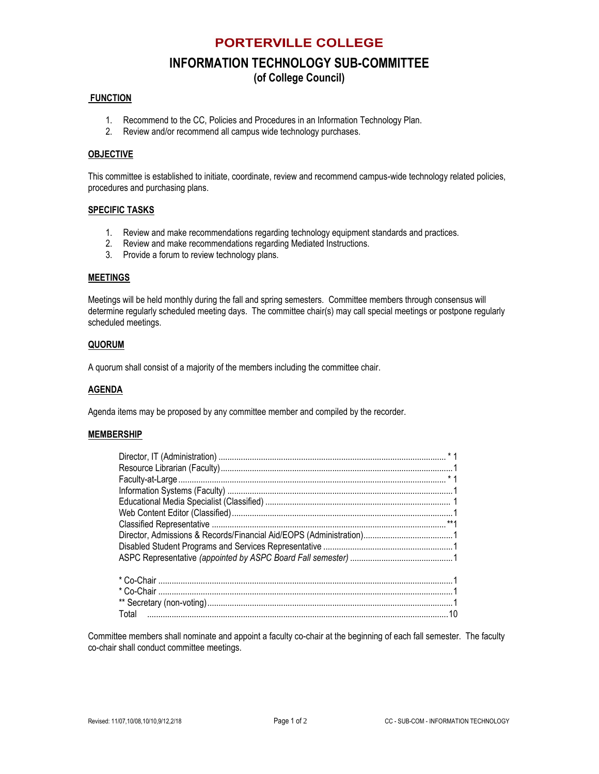### **PORTERVILLE COLLEGE**

# **INFORMATION TECHNOLOGY SUB-COMMITTEE**

**(of College Council)**

#### **FUNCTION**

- 1. Recommend to the CC, Policies and Procedures in an Information Technology Plan.
- 2. Review and/or recommend all campus wide technology purchases.

#### **OBJECTIVE**

This committee is established to initiate, coordinate, review and recommend campus-wide technology related policies, procedures and purchasing plans.

#### **SPECIFIC TASKS**

- 1. Review and make recommendations regarding technology equipment standards and practices.
- 2. Review and make recommendations regarding Mediated Instructions.
- 3. Provide a forum to review technology plans.

#### **MEETINGS**

Meetings will be held monthly during the fall and spring semesters. Committee members through consensus will determine regularly scheduled meeting days. The committee chair(s) may call special meetings or postpone regularly scheduled meetings.

#### **QUORUM**

A quorum shall consist of a majority of the members including the committee chair.

#### **AGENDA**

Agenda items may be proposed by any committee member and compiled by the recorder.

#### **MEMBERSHIP**

Total .......................................................................................................................................10 Committee members shall nominate and appoint a faculty co-chair at the beginning of each fall semester. The faculty

co-chair shall conduct committee meetings.